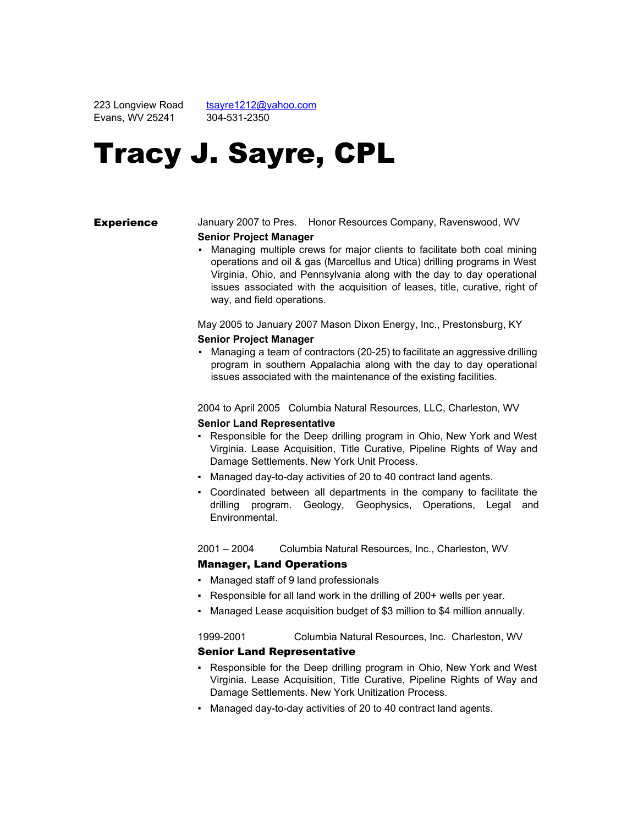223 Longview Road Evans, WV 25241

[tsayre1212@yahoo.com](mailto:tsayre1212@yahoo.com) 304-531-2350

# Tracy J. Sayre, CPL

# **Experience** January 2007 to Pres. Honor Resources Company, Ravenswood, WV

#### **Senior Project Manager**

▪ Managing multiple crews for major clients to facilitate both coal mining operations and oil & gas (Marcellus and Utica) drilling programs in West Virginia, Ohio, and Pennsylvania along with the day to day operational issues associated with the acquisition of leases, title, curative, right of way, and field operations.

May 2005 to January 2007 Mason Dixon Energy, Inc., Prestonsburg, KY **Senior Project Manager**

• Managing a team of contractors (20-25) to facilitate an aggressive drilling program in southern Appalachia along with the day to day operational issues associated with the maintenance of the existing facilities.

2004 to April 2005 Columbia Natural Resources, LLC, Charleston, WV

# **Senior Land Representative**

- Responsible for the Deep drilling program in Ohio, New York and West Virginia. Lease Acquisition, Title Curative, Pipeline Rights of Way and Damage Settlements. New York Unit Process.
- Managed day-to-day activities of 20 to 40 contract land agents.
- Coordinated between all departments in the company to facilitate the drilling program. Geology, Geophysics, Operations, Legal and Environmental.

2001 – 2004 Columbia Natural Resources, Inc., Charleston, WV

# Manager, Land Operations

- Managed staff of 9 land professionals
- Responsible for all land work in the drilling of 200+ wells per year.
- Managed Lease acquisition budget of \$3 million to \$4 million annually.

19992001 Columbia Natural Resources, Inc. Charleston, WV

# Senior Land Representative

- Responsible for the Deep drilling program in Ohio, New York and West Virginia. Lease Acquisition, Title Curative, Pipeline Rights of Way and Damage Settlements. New York Unitization Process.
- Managed day-to-day activities of 20 to 40 contract land agents.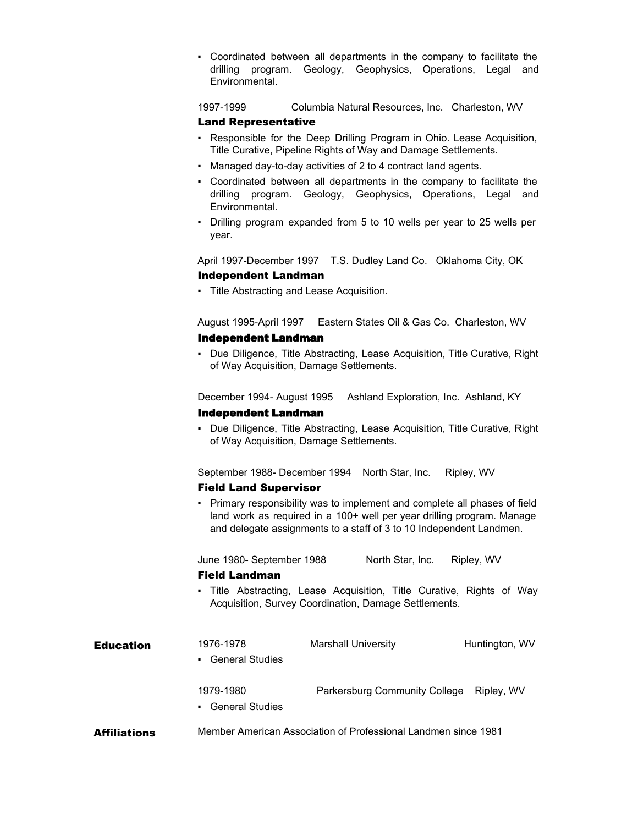▪ Coordinated between all departments in the company to facilitate the drilling program. Geology, Geophysics, Operations, Legal and Environmental.

1997-1999 Columbia Natural Resources, Inc. Charleston, WV

# Land Representative

- Responsible for the Deep Drilling Program in Ohio. Lease Acquisition, Title Curative, Pipeline Rights of Way and Damage Settlements.
- Managed day-to-day activities of 2 to 4 contract land agents.
- Coordinated between all departments in the company to facilitate the drilling program. Geology, Geophysics, Operations, Legal and Environmental.
- Drilling program expanded from 5 to 10 wells per year to 25 wells per year.

April 1997-December 1997 T.S. Dudley Land Co. Oklahoma City, OK Independent Landman

▪ Title Abstracting and Lease Acquisition.

August 1995April 1997 Eastern States Oil & Gas Co. Charleston, WV

#### **Independent Landman**

▪ Due Diligence, Title Abstracting, Lease Acquisition, Title Curative, Right of Way Acquisition, Damage Settlements.

December 1994- August 1995 Ashland Exploration, Inc. Ashland, KY

#### **Independent Landman**

▪ Due Diligence, Title Abstracting, Lease Acquisition, Title Curative, Right of Way Acquisition, Damage Settlements.

September 1988- December 1994 North Star, Inc. Ripley, WV

# Field Land Supervisor

▪ Primary responsibility was to implement and complete all phases of field land work as required in a 100+ well per year drilling program. Manage and delegate assignments to a staff of 3 to 10 Independent Landmen.

June 1980 September 1988 North Star, Inc. Ripley, WV

#### Field Landman

▪ Title Abstracting, Lease Acquisition, Title Curative, Rights of Way Acquisition, Survey Coordination, Damage Settlements.

| <b>Education</b>    | 1976-1978<br>• General Studies                                 | <b>Marshall University</b>    | Huntington, WV |
|---------------------|----------------------------------------------------------------|-------------------------------|----------------|
|                     | 1979-1980<br>• General Studies                                 | Parkersburg Community College | Ripley, WV     |
| <b>Affiliations</b> | Member American Association of Professional Landmen since 1981 |                               |                |